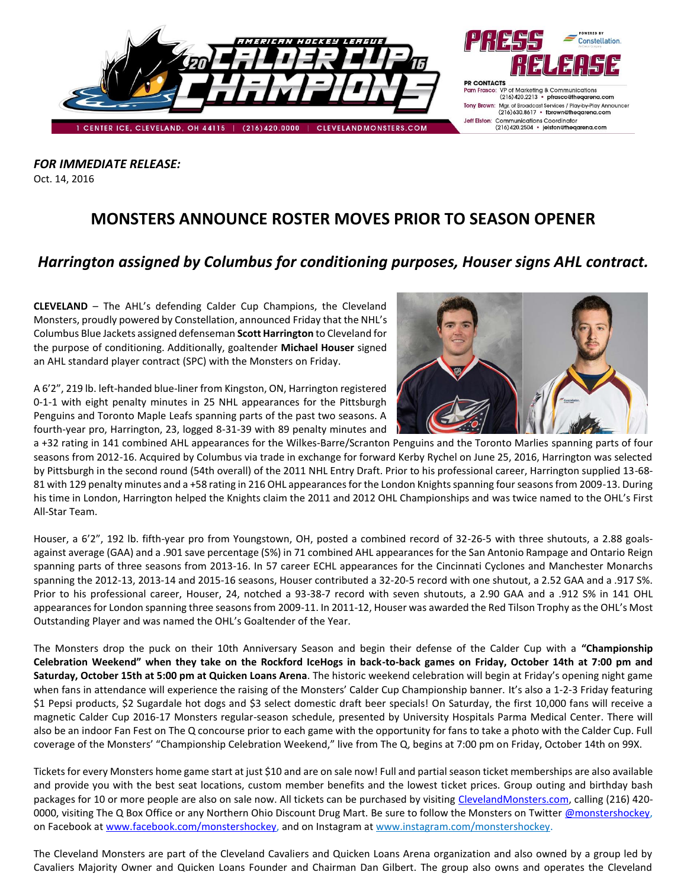

*FOR IMMEDIATE RELEASE:* Oct. 14, 2016

## **MONSTERS ANNOUNCE ROSTER MOVES PRIOR TO SEASON OPENER**

## *Harrington assigned by Columbus for conditioning purposes, Houser signs AHL contract.*

**CLEVELAND** – The AHL's defending Calder Cup Champions, the Cleveland Monsters, proudly powered by Constellation, announced Friday that the NHL's Columbus Blue Jackets assigned defenseman **Scott Harrington** to Cleveland for the purpose of conditioning. Additionally, goaltender **Michael Houser** signed an AHL standard player contract (SPC) with the Monsters on Friday.



A 6'2", 219 lb. left-handed blue-liner from Kingston, ON, Harrington registered 0-1-1 with eight penalty minutes in 25 NHL appearances for the Pittsburgh Penguins and Toronto Maple Leafs spanning parts of the past two seasons. A fourth-year pro, Harrington, 23, logged 8-31-39 with 89 penalty minutes and

a +32 rating in 141 combined AHL appearances for the Wilkes-Barre/Scranton Penguins and the Toronto Marlies spanning parts of four seasons from 2012-16. Acquired by Columbus via trade in exchange for forward Kerby Rychel on June 25, 2016, Harrington was selected by Pittsburgh in the second round (54th overall) of the 2011 NHL Entry Draft. Prior to his professional career, Harrington supplied 13-68- 81 with 129 penalty minutes and a +58 rating in 216 OHL appearances for the London Knights spanning four seasons from 2009-13. During his time in London, Harrington helped the Knights claim the 2011 and 2012 OHL Championships and was twice named to the OHL's First All-Star Team.

Houser, a 6'2", 192 lb. fifth-year pro from Youngstown, OH, posted a combined record of 32-26-5 with three shutouts, a 2.88 goalsagainst average (GAA) and a .901 save percentage (S%) in 71 combined AHL appearances for the San Antonio Rampage and Ontario Reign spanning parts of three seasons from 2013-16. In 57 career ECHL appearances for the Cincinnati Cyclones and Manchester Monarchs spanning the 2012-13, 2013-14 and 2015-16 seasons, Houser contributed a 32-20-5 record with one shutout, a 2.52 GAA and a .917 S%. Prior to his professional career, Houser, 24, notched a 93-38-7 record with seven shutouts, a 2.90 GAA and a .912 S% in 141 OHL appearances for London spanning three seasons from 2009-11. In 2011-12, Houser was awarded the Red Tilson Trophy as the OHL's Most Outstanding Player and was named the OHL's Goaltender of the Year.

The Monsters drop the puck on their 10th Anniversary Season and begin their defense of the Calder Cup with a **"Championship Celebration Weekend" when they take on the Rockford IceHogs in back-to-back games on Friday, October 14th at 7:00 pm and Saturday, October 15th at 5:00 pm at Quicken Loans Arena**. The historic weekend celebration will begin at Friday's opening night game when fans in attendance will experience the raising of the Monsters' Calder Cup Championship banner. It's also a 1-2-3 Friday featuring \$1 Pepsi products, \$2 Sugardale hot dogs and \$3 select domestic draft beer specials! On Saturday, the first 10,000 fans will receive a magnetic Calder Cup 2016-17 Monsters regular-season schedule, presented by University Hospitals Parma Medical Center. There will also be an indoor Fan Fest on The Q concourse prior to each game with the opportunity for fans to take a photo with the Calder Cup. Full coverage of the Monsters' "Championship Celebration Weekend," live from The Q, begins at 7:00 pm on Friday, October 14th on 99X.

Tickets for every Monsters home game start at just \$10 and are on sale now! Full and partial season ticket memberships are also available and provide you with the best seat locations, custom member benefits and the lowest ticket prices. Group outing and birthday bash packages for 10 or more people are also on sale now. All tickets can be purchased by visiting [ClevelandMonsters.com,](http://lakeeriemonsters.com/) calling (216) 420- 0000, visiting The Q Box Office or any Northern Ohio Discount Drug Mart. Be sure to follow the Monsters on Twitter [@monstershockey,](https://twitter.com/monstershockey) on Facebook a[t www.facebook.com/monstershockey,](http://www.facebook.com/monstershockey) and on Instagram at [www.instagram.com/monstershockey.](http://www.instagram.com/monstershockey)

The Cleveland Monsters are part of the Cleveland Cavaliers and Quicken Loans Arena organization and also owned by a group led by Cavaliers Majority Owner and Quicken Loans Founder and Chairman Dan Gilbert. The group also owns and operates the Cleveland